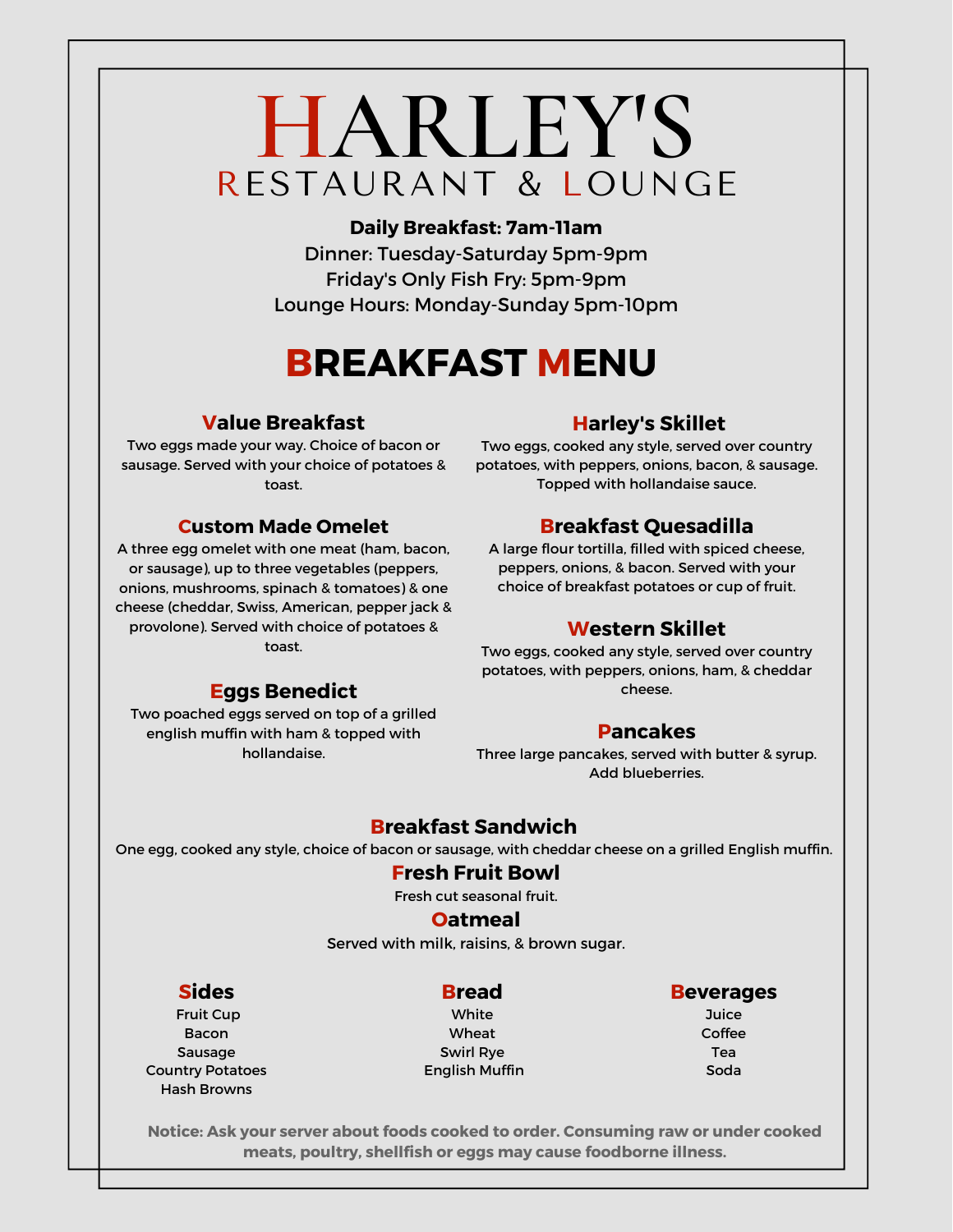# **HARLEY'S** RESTAURANT & LOUNGE

**Daily Breakfast: 7am-11am** Dinner: Tuesday-Saturday 5pm-9pm Friday's Only Fish Fry: 5pm-9pm Lounge Hours: Monday-Sunday 5pm-10pm

# **BREAKFAST MENU**

## **Value Breakfast**

Two eggs made your way. Choice of bacon or sausage. Served with your choice of potatoes & toast.

## **Custom Made Omelet**

A three egg omelet with one meat (ham, bacon, or sausage), up to three vegetables (peppers, onions, mushrooms, spinach & tomatoes) & one cheese (cheddar, Swiss, American, pepper jack & provolone). Served with choice of potatoes & toast.

**Eggs Benedict** Two poached eggs served on top of a grilled english muffin with ham & topped with hollandaise.

# **Harley's Skillet**

Two eggs, cooked any style, served over country potatoes, with peppers, onions, bacon, & sausage. Topped with hollandaise sauce.

# **Breakfast Quesadilla**

A large flour tortilla, filled with spiced cheese, peppers, onions, & bacon. Served with your choice of breakfast potatoes or cup of fruit.

# **Western Skillet**

Two eggs, cooked any style, served over country potatoes, with peppers, onions, ham, & cheddar cheese.

# **Pancakes**

Three large pancakes, served with butter & syrup. Add blueberries.

# **Breakfast Sandwich**

One egg, cooked any style, choice of bacon or sausage, with cheddar cheese on a grilled English muffin.

## **Fresh Fruit Bowl**

Fresh cut seasonal fruit.

### **Oatmeal**

Served with milk, raisins, & brown sugar.

## **Sides**

#### Fruit Cup Bacon Sausage Country Potatoes Hash Browns

**Bread** White Wheat Swirl Rye English Muffin

### **Beverages**

**Juice** Coffee Tea Soda

**Notice: Ask your server about foods cooked to order. Consuming raw or under cooked meats, poultry, shellfish or eggs may cause foodborne illness.**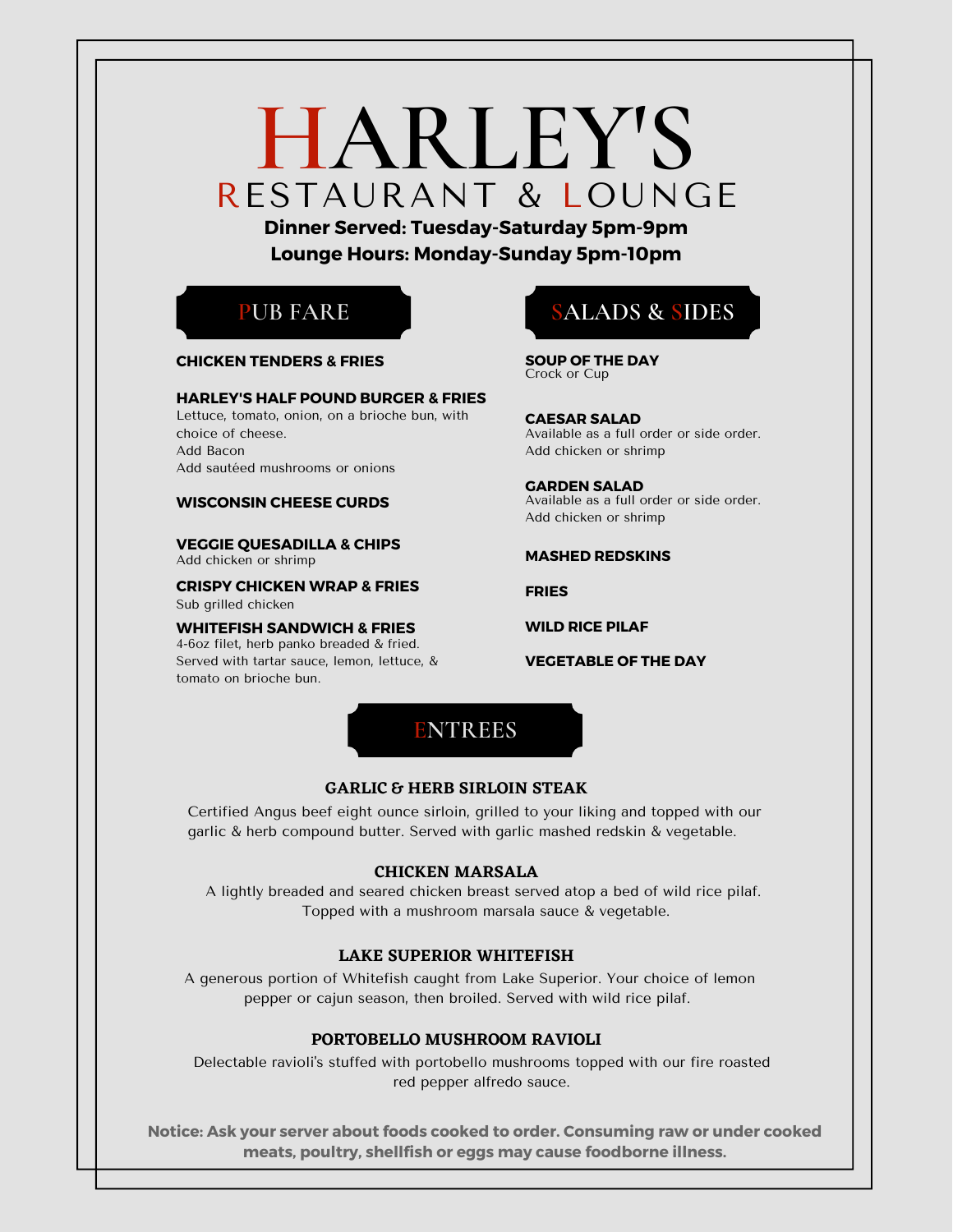# **HARLEY'S** RESTAURANT & LOUNGE

**Dinner Served: Tuesday-Saturday 5pm-9pm Lounge Hours: Monday-Sunday 5pm-10pm**



#### **CHICKEN TENDERS & FRIES**

#### **HARLEY'S HALF POUND BURGER & FRIES**

Lettuce, tomato, onion, on a brioche bun, with choice of cheese. Add Bacon Add sautéed mushrooms or onions

#### **WISCONSIN CHEESE CURDS**

**VEGGIE QUESADILLA & CHIPS** Add chicken or shrimp

**CRISPY CHICKEN WRAP & FRIES** Sub grilled chicken

**WHITEFISH SANDWICH & FRIES** 4-6oz filet, herb panko breaded & fried. Served with tartar sauce, lemon, lettuce, & tomato on brioche bun.



# **SALADS & SIDES**

Crock or Cup **SOUP OF THE DAY**

**CAESAR SALAD** Available as a full order or side order. Add chicken or shrimp

**GARDEN SALAD** Available as a full order or side order. Add chicken or shrimp

#### **MASHED REDSKINS**

**FRIES**

**WILD RICE PILAF**

**VEGETABLE OF THE DAY**

#### **GARLIC & HERB SIRLOIN STEAK**

Certified Angus beef eight ounce sirloin, grilled to your liking and topped with our garlic & herb compound butter. Served with garlic mashed redskin & vegetable.

#### **CHICKEN MARSALA**

A lightly breaded and seared chicken breast served atop a bed of wild rice pilaf. Topped with a mushroom marsala sauce & vegetable.

#### **LAKE SUPERIOR WHITEFISH**

A generous portion of Whitefish caught from Lake Superior. Your choice of lemon pepper or cajun season, then broiled. Served with wild rice pilaf.

#### **PORTOBELLO MUSHROOM RAVIOLI**

Delectable ravioli's stuffed with portobello mushrooms topped with our fire roasted red pepper alfredo sauce.

**Notice: Ask your server about foods cooked to order. Consuming raw or under cooked meats, poultry, shellfish or eggs may cause foodborne illness.**